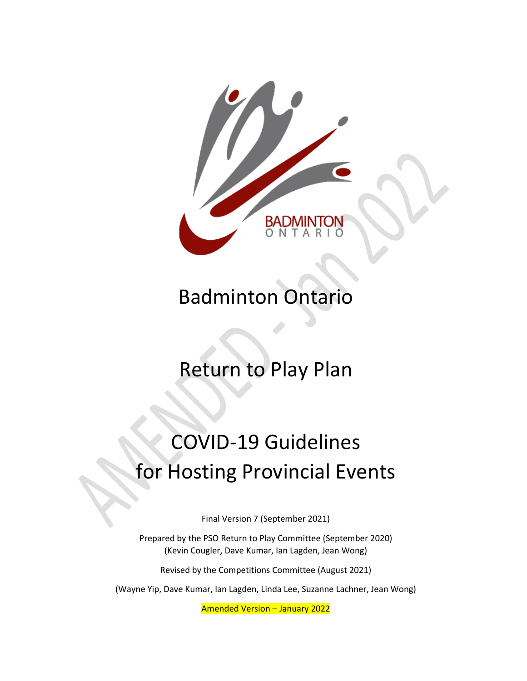

# Badminton Ontario

# Return to Play Plan

# COVID-19 Guidelines for Hosting Provincial Events

Final Version 7 (September 2021)

Prepared by the PSO Return to Play Committee (September 2020) (Kevin Cougler, Dave Kumar, Ian Lagden, Jean Wong)

Revised by the Competitions Committee (August 2021)

(Wayne Yip, Dave Kumar, Ian Lagden, Linda Lee, Suzanne Lachner, Jean Wong)

Amended Version – January 2022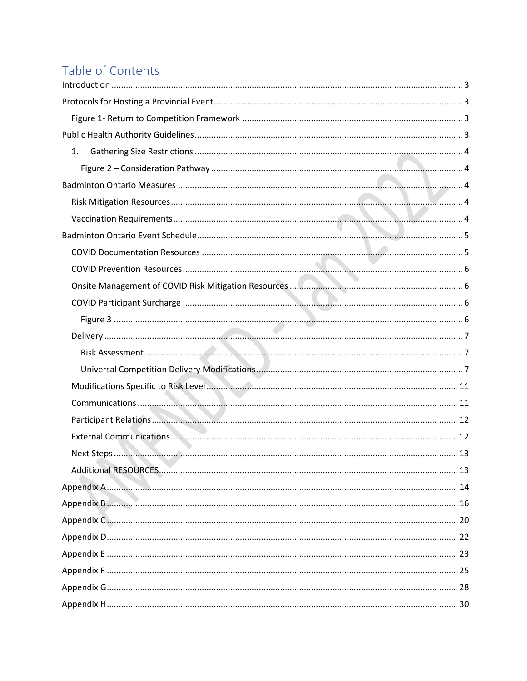### Table of Contents

| 1. |
|----|
|    |
|    |
|    |
|    |
|    |
|    |
|    |
|    |
|    |
|    |
|    |
|    |
|    |
|    |
|    |
|    |
|    |
|    |
|    |
|    |
|    |
|    |
|    |
|    |
|    |
|    |
|    |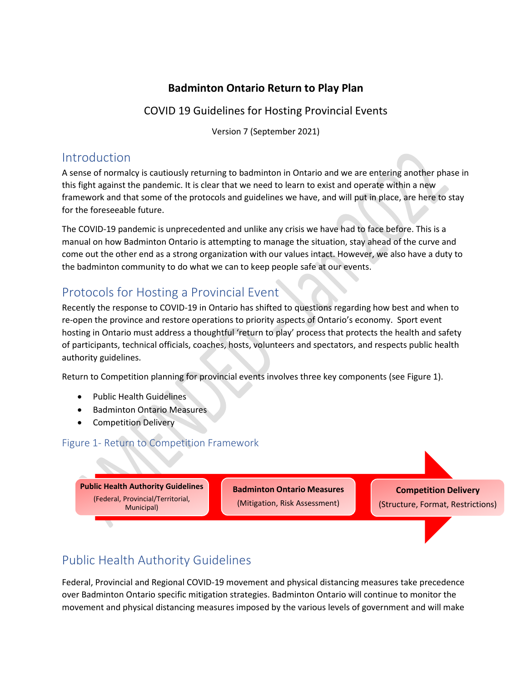#### **Badminton Ontario Return to Play Plan**

#### COVID 19 Guidelines for Hosting Provincial Events

Version 7 (September 2021)

### <span id="page-2-0"></span>Introduction

A sense of normalcy is cautiously returning to badminton in Ontario and we are entering another phase in this fight against the pandemic. It is clear that we need to learn to exist and operate within a new framework and that some of the protocols and guidelines we have, and will put in place, are here to stay for the foreseeable future.

The COVID-19 pandemic is unprecedented and unlike any crisis we have had to face before. This is a manual on how Badminton Ontario is attempting to manage the situation, stay ahead of the curve and come out the other end as a strong organization with our values intact. However, we also have a duty to the badminton community to do what we can to keep people safe at our events.

### <span id="page-2-1"></span>Protocols for Hosting a Provincial Event

Recently the response to COVID-19 in Ontario has shifted to questions regarding how best and when to re-open the province and restore operations to priority aspects of Ontario's economy. Sport event hosting in Ontario must address a thoughtful 'return to play' process that protects the health and safety of participants, technical officials, coaches, hosts, volunteers and spectators, and respects public health authority guidelines.

Return to Competition planning for provincial events involves three key components (see Figure 1).

- Public Health Guidelines
- Badminton Ontario Measures
- Competition Delivery

#### <span id="page-2-2"></span>Figure 1- Return to Competition Framework

**Public Health Authority Guidelines** (Federal, Provincial/Territorial, Municipal)

**Badminton Ontario Measures** (Mitigation, Risk Assessment)

**Competition Delivery** (Structure, Format, Restrictions)

### <span id="page-2-3"></span>Public Health Authority Guidelines

Federal, Provincial and Regional COVID-19 movement and physical distancing measures take precedence over Badminton Ontario specific mitigation strategies. Badminton Ontario will continue to monitor the movement and physical distancing measures imposed by the various levels of government and will make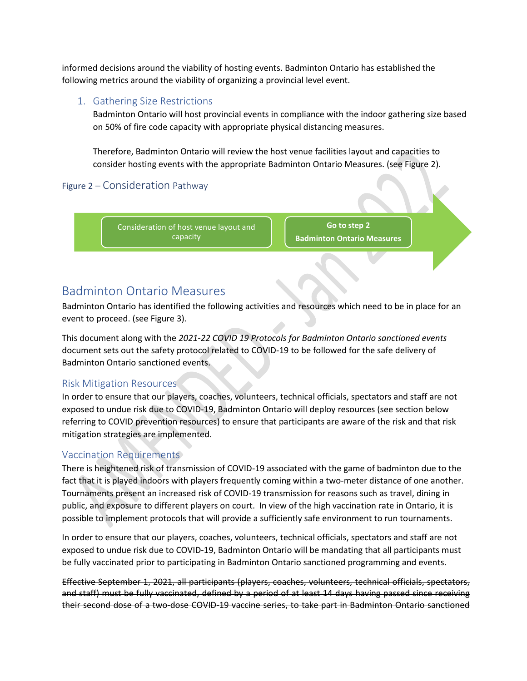informed decisions around the viability of hosting events. Badminton Ontario has established the following metrics around the viability of organizing a provincial level event.

#### <span id="page-3-0"></span>1. Gathering Size Restrictions

Badminton Ontario will host provincial events in compliance with the indoor gathering size based on 50% of fire code capacity with appropriate physical distancing measures.

Therefore, Badminton Ontario will review the host venue facilities layout and capacities to consider hosting events with the appropriate Badminton Ontario Measures. (see Figure 2).

#### <span id="page-3-1"></span>Figure 2 – Consideration Pathway

Consideration of host venue layout and capacity

**Go to step 2 Badminton Ontario Measures**

### <span id="page-3-2"></span>Badminton Ontario Measures

Badminton Ontario has identified the following activities and resources which need to be in place for an event to proceed. (see Figure 3).

This document along with the *2021-22 COVID 19 Protocols for Badminton Ontario sanctioned events*  document sets out the safety protocol related to COVID-19 to be followed for the safe delivery of Badminton Ontario sanctioned events.

#### <span id="page-3-3"></span>Risk Mitigation Resources

In order to ensure that our players, coaches, volunteers, technical officials, spectators and staff are not exposed to undue risk due to COVID-19, Badminton Ontario will deploy resources (see section below referring to COVID prevention resources) to ensure that participants are aware of the risk and that risk mitigation strategies are implemented.

#### <span id="page-3-4"></span>Vaccination Requirements

There is heightened risk of transmission of COVID-19 associated with the game of badminton due to the fact that it is played indoors with players frequently coming within a two-meter distance of one another. Tournaments present an increased risk of COVID-19 transmission for reasons such as travel, dining in public, and exposure to different players on court. In view of the high vaccination rate in Ontario, it is possible to implement protocols that will provide a sufficiently safe environment to run tournaments.

In order to ensure that our players, coaches, volunteers, technical officials, spectators and staff are not exposed to undue risk due to COVID-19, Badminton Ontario will be mandating that all participants must be fully vaccinated prior to participating in Badminton Ontario sanctioned programming and events.

Effective September 1, 2021, all participants (players, coaches, volunteers, technical officials, spectators, and staff) must be fully vaccinated, defined by a period of at least 14 days having passed since receiving their second dose of a two-dose COVID-19 vaccine series, to take part in Badminton Ontario sanctioned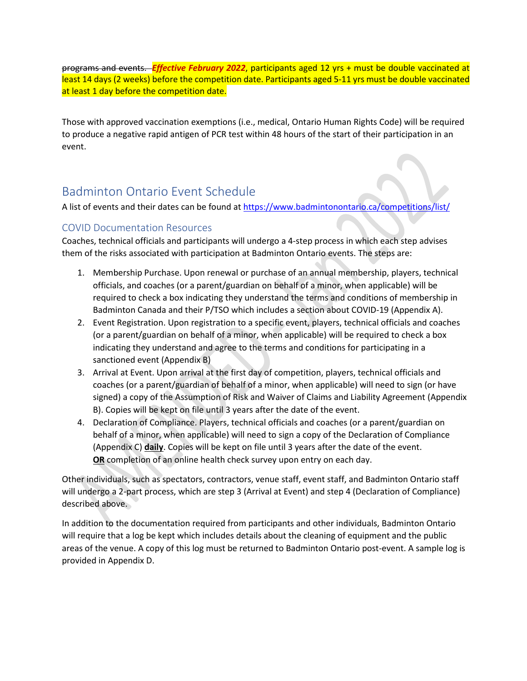programs and events. *Effective February 2022*, participants aged 12 yrs + must be double vaccinated at least 14 days (2 weeks) before the competition date. Participants aged 5-11 yrs must be double vaccinated at least 1 day before the competition date.

Those with approved vaccination exemptions (i.e., medical, Ontario Human Rights Code) will be required to produce a negative rapid antigen of PCR test within 48 hours of the start of their participation in an event.

### <span id="page-4-0"></span>Badminton Ontario Event Schedule

A list of events and their dates can be found at <https://www.badmintonontario.ca/competitions/list/>

#### <span id="page-4-1"></span>COVID Documentation Resources

Coaches, technical officials and participants will undergo a 4-step process in which each step advises them of the risks associated with participation at Badminton Ontario events. The steps are:

- 1. Membership Purchase. Upon renewal or purchase of an annual membership, players, technical officials, and coaches (or a parent/guardian on behalf of a minor, when applicable) will be required to check a box indicating they understand the terms and conditions of membership in Badminton Canada and their P/TSO which includes a section about COVID-19 (Appendix A).
- 2. Event Registration. Upon registration to a specific event, players, technical officials and coaches (or a parent/guardian on behalf of a minor, when applicable) will be required to check a box indicating they understand and agree to the terms and conditions for participating in a sanctioned event (Appendix B)
- 3. Arrival at Event. Upon arrival at the first day of competition, players, technical officials and coaches (or a parent/guardian of behalf of a minor, when applicable) will need to sign (or have signed) a copy of the Assumption of Risk and Waiver of Claims and Liability Agreement (Appendix B). Copies will be kept on file until 3 years after the date of the event.
- 4. Declaration of Compliance. Players, technical officials and coaches (or a parent/guardian on behalf of a minor, when applicable) will need to sign a copy of the Declaration of Compliance (Appendix C) **daily**. Copies will be kept on file until 3 years after the date of the event. **OR** completion of an online health check survey upon entry on each day.

Other individuals, such as spectators, contractors, venue staff, event staff, and Badminton Ontario staff will undergo a 2-part process, which are step 3 (Arrival at Event) and step 4 (Declaration of Compliance) described above.

In addition to the documentation required from participants and other individuals, Badminton Ontario will require that a log be kept which includes details about the cleaning of equipment and the public areas of the venue. A copy of this log must be returned to Badminton Ontario post-event. A sample log is provided in Appendix D.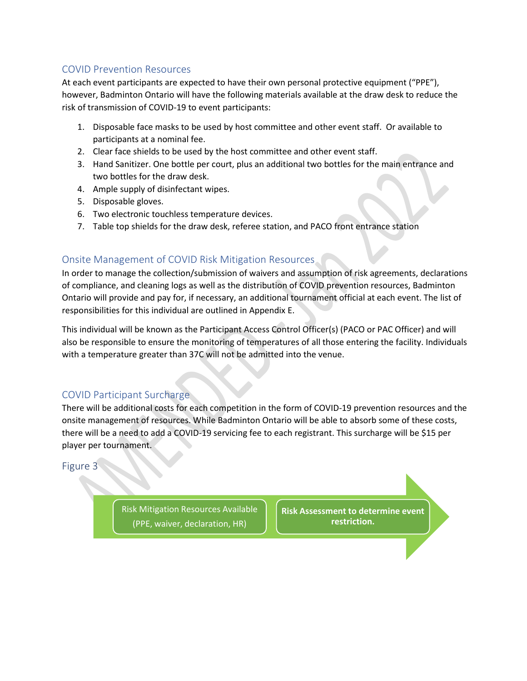#### <span id="page-5-0"></span>COVID Prevention Resources

At each event participants are expected to have their own personal protective equipment ("PPE"), however, Badminton Ontario will have the following materials available at the draw desk to reduce the risk of transmission of COVID-19 to event participants:

- 1. Disposable face masks to be used by host committee and other event staff. Or available to participants at a nominal fee.
- 2. Clear face shields to be used by the host committee and other event staff.
- 3. Hand Sanitizer. One bottle per court, plus an additional two bottles for the main entrance and two bottles for the draw desk.
- 4. Ample supply of disinfectant wipes.
- 5. Disposable gloves.
- 6. Two electronic touchless temperature devices.
- 7. Table top shields for the draw desk, referee station, and PACO front entrance station

#### <span id="page-5-1"></span>Onsite Management of COVID Risk Mitigation Resources

In order to manage the collection/submission of waivers and assumption of risk agreements, declarations of compliance, and cleaning logs as well as the distribution of COVID prevention resources, Badminton Ontario will provide and pay for, if necessary, an additional tournament official at each event. The list of responsibilities for this individual are outlined in Appendix E.

This individual will be known as the Participant Access Control Officer(s) (PACO or PAC Officer) and will also be responsible to ensure the monitoring of temperatures of all those entering the facility. Individuals with a temperature greater than 37C will not be admitted into the venue.

#### <span id="page-5-2"></span>COVID Participant Surcharge

There will be additional costs for each competition in the form of COVID-19 prevention resources and the onsite management of resources. While Badminton Ontario will be able to absorb some of these costs, there will be a need to add a COVID-19 servicing fee to each registrant. This surcharge will be \$15 per player per tournament.

#### <span id="page-5-3"></span>Figure 3

Risk Mitigation Resources Available (PPE, waiver, declaration, HR)

**Risk Assessment to determine event restriction.**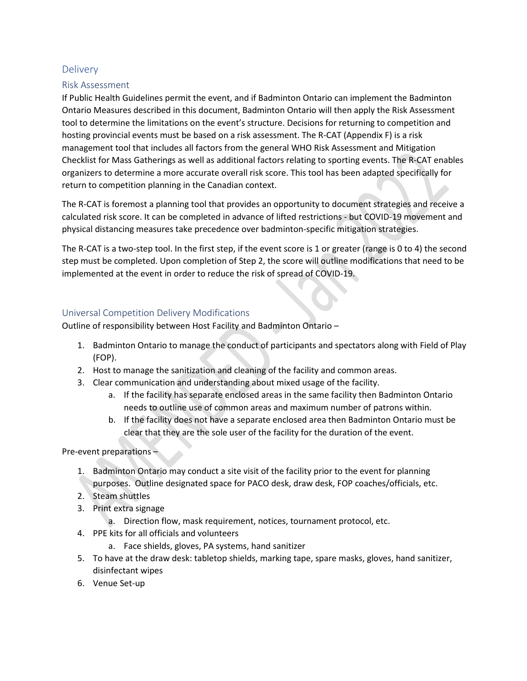#### <span id="page-6-0"></span>**Delivery**

#### <span id="page-6-1"></span>Risk Assessment

If Public Health Guidelines permit the event, and if Badminton Ontario can implement the Badminton Ontario Measures described in this document, Badminton Ontario will then apply the Risk Assessment tool to determine the limitations on the event's structure. Decisions for returning to competition and hosting provincial events must be based on a risk assessment. The R-CAT (Appendix F) is a risk management tool that includes all factors from the general WHO Risk Assessment and Mitigation Checklist for Mass Gatherings as well as additional factors relating to sporting events. The R-CAT enables organizers to determine a more accurate overall risk score. This tool has been adapted specifically for return to competition planning in the Canadian context.

The R-CAT is foremost a planning tool that provides an opportunity to document strategies and receive a calculated risk score. It can be completed in advance of lifted restrictions - but COVID-19 movement and physical distancing measures take precedence over badminton-specific mitigation strategies.

The R-CAT is a two-step tool. In the first step, if the event score is 1 or greater (range is 0 to 4) the second step must be completed. Upon completion of Step 2, the score will outline modifications that need to be implemented at the event in order to reduce the risk of spread of COVID-19.

#### <span id="page-6-2"></span>Universal Competition Delivery Modifications

Outline of responsibility between Host Facility and Badminton Ontario –

- 1. Badminton Ontario to manage the conduct of participants and spectators along with Field of Play (FOP).
- 2. Host to manage the sanitization and cleaning of the facility and common areas.
- 3. Clear communication and understanding about mixed usage of the facility.
	- a. If the facility has separate enclosed areas in the same facility then Badminton Ontario needs to outline use of common areas and maximum number of patrons within.
	- b. If the facility does not have a separate enclosed area then Badminton Ontario must be clear that they are the sole user of the facility for the duration of the event.

Pre-event preparations –

- 1. Badminton Ontario may conduct a site visit of the facility prior to the event for planning purposes. Outline designated space for PACO desk, draw desk, FOP coaches/officials, etc.
- 2. Steam shuttles
- 3. Print extra signage
	- a. Direction flow, mask requirement, notices, tournament protocol, etc.
- 4. PPE kits for all officials and volunteers
	- a. Face shields, gloves, PA systems, hand sanitizer
- 5. To have at the draw desk: tabletop shields, marking tape, spare masks, gloves, hand sanitizer, disinfectant wipes
- 6. Venue Set-up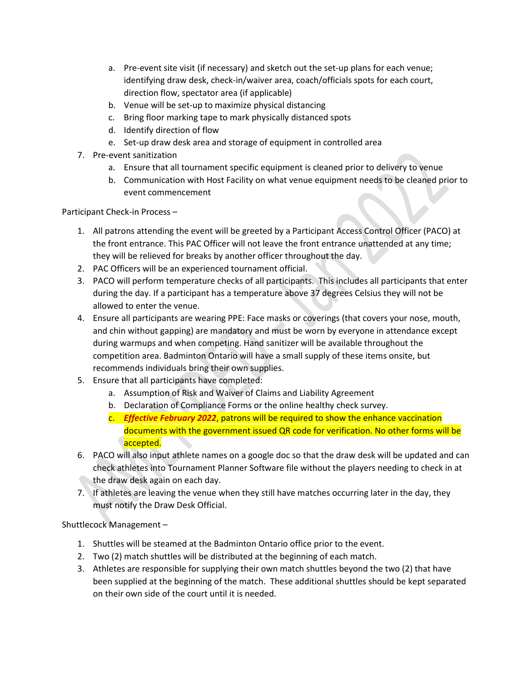- a. Pre-event site visit (if necessary) and sketch out the set-up plans for each venue; identifying draw desk, check-in/waiver area, coach/officials spots for each court, direction flow, spectator area (if applicable)
- b. Venue will be set-up to maximize physical distancing
- c. Bring floor marking tape to mark physically distanced spots
- d. Identify direction of flow
- e. Set-up draw desk area and storage of equipment in controlled area
- 7. Pre-event sanitization
	- a. Ensure that all tournament specific equipment is cleaned prior to delivery to venue
	- b. Communication with Host Facility on what venue equipment needs to be cleaned prior to event commencement

Participant Check-in Process –

- 1. All patrons attending the event will be greeted by a Participant Access Control Officer (PACO) at the front entrance. This PAC Officer will not leave the front entrance unattended at any time; they will be relieved for breaks by another officer throughout the day.
- 2. PAC Officers will be an experienced tournament official.
- 3. PACO will perform temperature checks of all participants. This includes all participants that enter during the day. If a participant has a temperature above 37 degrees Celsius they will not be allowed to enter the venue.
- 4. Ensure all participants are wearing PPE: Face masks or coverings (that covers your nose, mouth, and chin without gapping) are mandatory and must be worn by everyone in attendance except during warmups and when competing. Hand sanitizer will be available throughout the competition area. Badminton Ontario will have a small supply of these items onsite, but recommends individuals bring their own supplies.
- 5. Ensure that all participants have completed:
	- a. Assumption of Risk and Waiver of Claims and Liability Agreement
	- b. Declaration of Compliance Forms or the online healthy check survey.
	- c. *Effective February 2022*, patrons will be required to show the enhance vaccination documents with the government issued QR code for verification. No other forms will be accepted.
- 6. PACO will also input athlete names on a google doc so that the draw desk will be updated and can check athletes into Tournament Planner Software file without the players needing to check in at the draw desk again on each day.
- 7. If athletes are leaving the venue when they still have matches occurring later in the day, they must notify the Draw Desk Official.

Shuttlecock Management –

- 1. Shuttles will be steamed at the Badminton Ontario office prior to the event.
- 2. Two (2) match shuttles will be distributed at the beginning of each match.
- 3. Athletes are responsible for supplying their own match shuttles beyond the two (2) that have been supplied at the beginning of the match. These additional shuttles should be kept separated on their own side of the court until it is needed.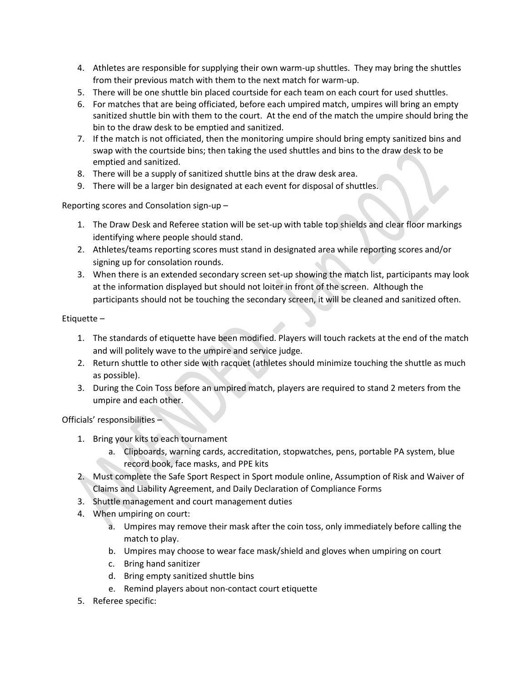- 4. Athletes are responsible for supplying their own warm-up shuttles. They may bring the shuttles from their previous match with them to the next match for warm-up.
- 5. There will be one shuttle bin placed courtside for each team on each court for used shuttles.
- 6. For matches that are being officiated, before each umpired match, umpires will bring an empty sanitized shuttle bin with them to the court. At the end of the match the umpire should bring the bin to the draw desk to be emptied and sanitized.
- 7. If the match is not officiated, then the monitoring umpire should bring empty sanitized bins and swap with the courtside bins; then taking the used shuttles and bins to the draw desk to be emptied and sanitized.
- 8. There will be a supply of sanitized shuttle bins at the draw desk area.
- 9. There will be a larger bin designated at each event for disposal of shuttles.

Reporting scores and Consolation sign-up –

- 1. The Draw Desk and Referee station will be set-up with table top shields and clear floor markings identifying where people should stand.
- 2. Athletes/teams reporting scores must stand in designated area while reporting scores and/or signing up for consolation rounds.
- 3. When there is an extended secondary screen set-up showing the match list, participants may look at the information displayed but should not loiter in front of the screen. Although the participants should not be touching the secondary screen, it will be cleaned and sanitized often.

Etiquette –

- 1. The standards of etiquette have been modified. Players will touch rackets at the end of the match and will politely wave to the umpire and service judge.
- 2. Return shuttle to other side with racquet (athletes should minimize touching the shuttle as much as possible).
- 3. During the Coin Toss before an umpired match, players are required to stand 2 meters from the umpire and each other.

Officials' responsibilities –

- 1. Bring your kits to each tournament
	- a. Clipboards, warning cards, accreditation, stopwatches, pens, portable PA system, blue record book, face masks, and PPE kits
- 2. Must complete the Safe Sport Respect in Sport module online, Assumption of Risk and Waiver of Claims and Liability Agreement, and Daily Declaration of Compliance Forms
- 3. Shuttle management and court management duties
- 4. When umpiring on court:
	- a. Umpires may remove their mask after the coin toss, only immediately before calling the match to play.
	- b. Umpires may choose to wear face mask/shield and gloves when umpiring on court
	- c. Bring hand sanitizer
	- d. Bring empty sanitized shuttle bins
	- e. Remind players about non-contact court etiquette
- 5. Referee specific: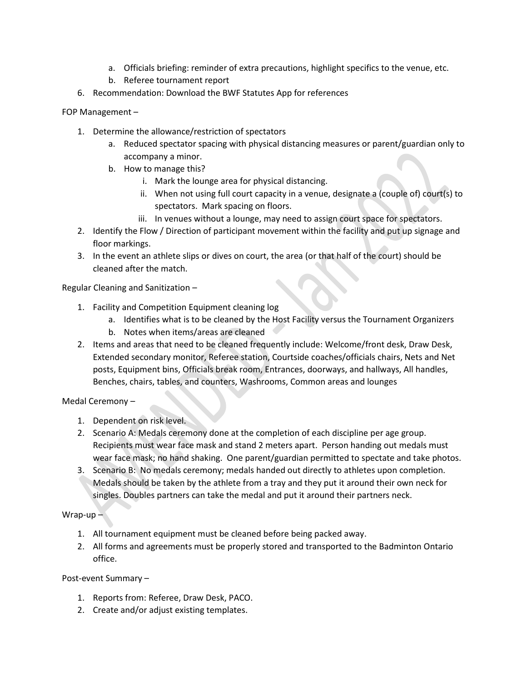- a. Officials briefing: reminder of extra precautions, highlight specifics to the venue, etc.
- b. Referee tournament report
- 6. Recommendation: Download the BWF Statutes App for references
- FOP Management
	- 1. Determine the allowance/restriction of spectators
		- a. Reduced spectator spacing with physical distancing measures or parent/guardian only to accompany a minor.
		- b. How to manage this?
			- i. Mark the lounge area for physical distancing.
			- ii. When not using full court capacity in a venue, designate a (couple of) court(s) to spectators. Mark spacing on floors.
			- iii. In venues without a lounge, may need to assign court space for spectators.
	- 2. Identify the Flow / Direction of participant movement within the facility and put up signage and floor markings.
	- 3. In the event an athlete slips or dives on court, the area (or that half of the court) should be cleaned after the match.

Regular Cleaning and Sanitization –

- 1. Facility and Competition Equipment cleaning log
	- a. Identifies what is to be cleaned by the Host Facility versus the Tournament Organizers
	- b. Notes when items/areas are cleaned
- 2. Items and areas that need to be cleaned frequently include: Welcome/front desk, Draw Desk, Extended secondary monitor, Referee station, Courtside coaches/officials chairs, Nets and Net posts, Equipment bins, Officials break room, Entrances, doorways, and hallways, All handles, Benches, chairs, tables, and counters, Washrooms, Common areas and lounges

Medal Ceremony –

- 1. Dependent on risk level.
- 2. Scenario A: Medals ceremony done at the completion of each discipline per age group. Recipients must wear face mask and stand 2 meters apart. Person handing out medals must wear face mask; no hand shaking. One parent/guardian permitted to spectate and take photos.
- 3. Scenario B: No medals ceremony; medals handed out directly to athletes upon completion. Medals should be taken by the athlete from a tray and they put it around their own neck for singles. Doubles partners can take the medal and put it around their partners neck.

Wrap-up $-$ 

- 1. All tournament equipment must be cleaned before being packed away.
- 2. All forms and agreements must be properly stored and transported to the Badminton Ontario office.

Post-event Summary –

- 1. Reports from: Referee, Draw Desk, PACO.
- 2. Create and/or adjust existing templates.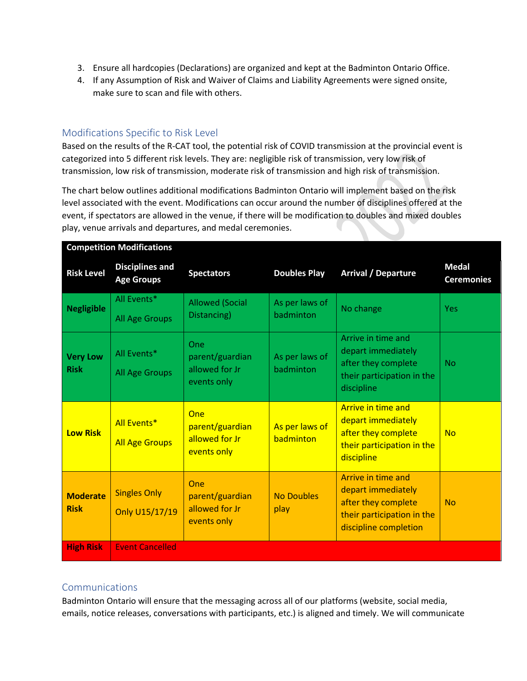- 3. Ensure all hardcopies (Declarations) are organized and kept at the Badminton Ontario Office.
- 4. If any Assumption of Risk and Waiver of Claims and Liability Agreements were signed onsite, make sure to scan and file with others.

#### <span id="page-10-0"></span>Modifications Specific to Risk Level

Based on the results of the R-CAT tool, the potential risk of COVID transmission at the provincial event is categorized into 5 different risk levels. They are: negligible risk of transmission, very low risk of transmission, low risk of transmission, moderate risk of transmission and high risk of transmission.

The chart below outlines additional modifications Badminton Ontario will implement based on the risk level associated with the event. Modifications can occur around the number of disciplines offered at the event, if spectators are allowed in the venue, if there will be modification to doubles and mixed doubles play, venue arrivals and departures, and medal ceremonies.

| <b>Risk Level</b>              | <b>Disciplines and</b><br><b>Age Groups</b> | <b>Spectators</b>                                       | <b>Doubles Play</b>         | <b>Arrival / Departure</b>                                                                                             | <b>Medal</b><br><b>Ceremonies</b> |
|--------------------------------|---------------------------------------------|---------------------------------------------------------|-----------------------------|------------------------------------------------------------------------------------------------------------------------|-----------------------------------|
| <b>Negligible</b>              | All Events*<br>All Age Groups               | <b>Allowed (Social</b><br>Distancing)                   | As per laws of<br>badminton | No change                                                                                                              | <b>Yes</b>                        |
| <b>Very Low</b><br><b>Risk</b> | All Events*<br>All Age Groups               | One<br>parent/guardian<br>allowed for Jr<br>events only | As per laws of<br>badminton | Arrive in time and<br>depart immediately<br>after they complete<br>their participation in the<br>discipline            | <b>No</b>                         |
| <b>Low Risk</b>                | All Events*<br><b>All Age Groups</b>        | One<br>parent/guardian<br>allowed for Jr<br>events only | As per laws of<br>badminton | <b>Arrive in time and</b><br>depart immediately<br>after they complete<br>their participation in the<br>discipline     | <b>No</b>                         |
| <b>Moderate</b><br><b>Risk</b> | <b>Singles Only</b><br>Only U15/17/19       | One<br>parent/guardian<br>allowed for Jr<br>events only | <b>No Doubles</b><br>play   | Arrive in time and<br>depart immediately<br>after they complete<br>their participation in the<br>discipline completion | <b>No</b>                         |
| <b>High Risk</b>               | <b>Event Cancelled</b>                      |                                                         |                             |                                                                                                                        |                                   |

#### **Competition Modifications**

#### <span id="page-10-1"></span>**Communications**

Badminton Ontario will ensure that the messaging across all of our platforms (website, social media, emails, notice releases, conversations with participants, etc.) is aligned and timely. We will communicate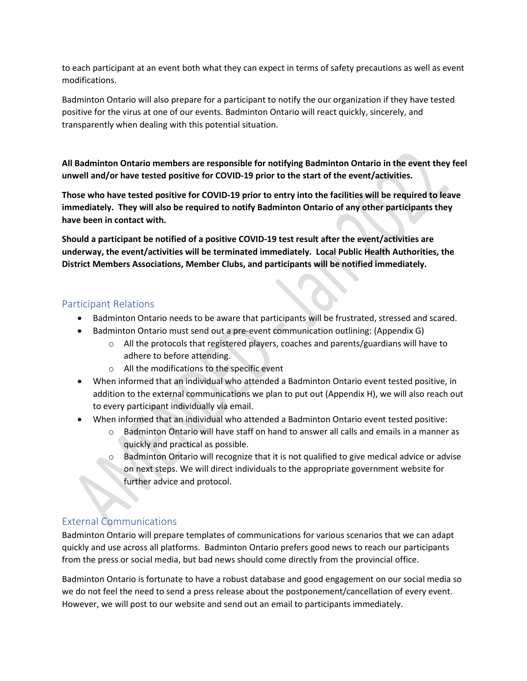to each participant at an event both what they can expect in terms of safety precautions as well as event modifications.

Badminton Ontario will also prepare for a participant to notify the our organization if they have tested positive for the virus at one of our events. Badminton Ontario will react quickly, sincerely, and transparently when dealing with this potential situation.

**All Badminton Ontario members are responsible for notifying Badminton Ontario in the event they feel unwell and/or have tested positive for COVID-19 prior to the start of the event/activities.** 

**Those who have tested positive for COVID-19 prior to entry into the facilities will be required to leave immediately. They will also be required to notify Badminton Ontario of any other participants they have been in contact with.** 

**Should a participant be notified of a positive COVID-19 test result after the event/activities are underway, the event/activities will be terminated immediately. Local Public Health Authorities, the District Members Associations, Member Clubs, and participants will be notified immediately.** 

#### <span id="page-11-0"></span>Participant Relations

- Badminton Ontario needs to be aware that participants will be frustrated, stressed and scared.
- Badminton Ontario must send out a pre-event communication outlining: (Appendix G)
	- $\circ$  All the protocols that registered players, coaches and parents/guardians will have to adhere to before attending.
	- o All the modifications to the specific event
- When informed that an individual who attended a Badminton Ontario event tested positive, in addition to the external communications we plan to put out (Appendix H), we will also reach out to every participant individually via email.
- When informed that an individual who attended a Badminton Ontario event tested positive:
	- o Badminton Ontario will have staff on hand to answer all calls and emails in a manner as quickly and practical as possible.
	- o Badminton Ontario will recognize that it is not qualified to give medical advice or advise on next steps. We will direct individuals to the appropriate government website for further advice and protocol.

#### <span id="page-11-1"></span>External Communications

Badminton Ontario will prepare templates of communications for various scenarios that we can adapt quickly and use across all platforms. Badminton Ontario prefers good news to reach our participants from the press or social media, but bad news should come directly from the provincial office.

Badminton Ontario is fortunate to have a robust database and good engagement on our social media so we do not feel the need to send a press release about the postponement/cancellation of every event. However, we will post to our website and send out an email to participants immediately.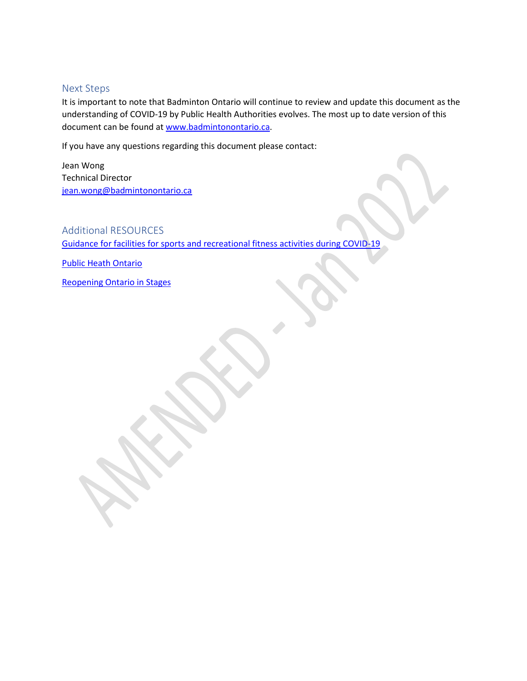#### <span id="page-12-0"></span>Next Steps

It is important to note that Badminton Ontario will continue to review and update this document as the understanding of COVID-19 by Public Health Authorities evolves. The most up to date version of this document can be found a[t www.badmintonontario.ca.](http://www.badminton.ca/)

If you have any questions regarding this document please contact:

Jean Wong Technical Director [jean.wong@badmintonontario.ca](mailto:jean.wong@badmintonontario.ca)

#### <span id="page-12-1"></span>Additional RESOURCES

[Guidance for facilities for sports and recreational fitness activities during COVID-19](https://www.ontario.ca/page/guidance-facilities-sports-and-recreational-fitness-activities-during-covid-19)

[Public Heath Ontario](https://www.publichealthontario.ca/-/media/documents/ncov/epi/2020/covid-19-regional-epi-summary-report.pdf?la=en)

[Reopening Ontario in Stages](https://www.ontario.ca/page/reopening-ontario-stages#section-3)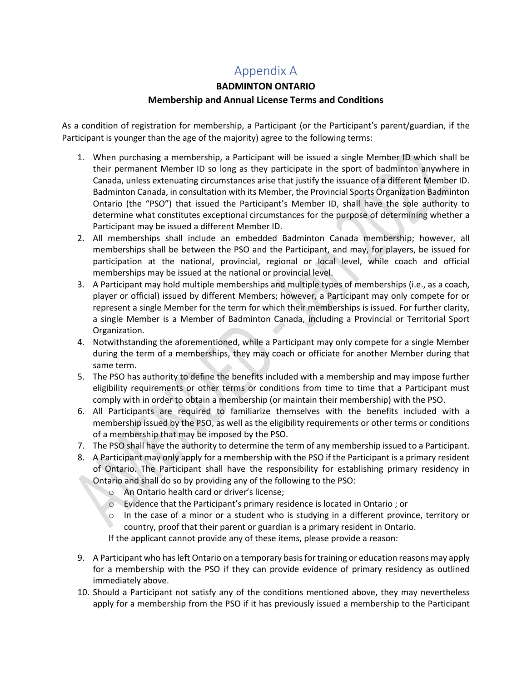### Appendix A

### **BADMINTON ONTARIO**

#### **Membership and Annual License Terms and Conditions**

<span id="page-13-0"></span>As a condition of registration for membership, a Participant (or the Participant's parent/guardian, if the Participant is younger than the age of the majority) agree to the following terms:

- 1. When purchasing a membership, a Participant will be issued a single Member ID which shall be their permanent Member ID so long as they participate in the sport of badminton anywhere in Canada, unless extenuating circumstances arise that justify the issuance of a different Member ID. Badminton Canada, in consultation with its Member, the Provincial Sports Organization Badminton Ontario (the "PSO") that issued the Participant's Member ID, shall have the sole authority to determine what constitutes exceptional circumstances for the purpose of determining whether a Participant may be issued a different Member ID.
- 2. All memberships shall include an embedded Badminton Canada membership; however, all memberships shall be between the PSO and the Participant, and may, for players, be issued for participation at the national, provincial, regional or local level, while coach and official memberships may be issued at the national or provincial level.
- 3. A Participant may hold multiple memberships and multiple types of memberships (i.e., as a coach, player or official) issued by different Members; however, a Participant may only compete for or represent a single Member for the term for which their memberships is issued. For further clarity, a single Member is a Member of Badminton Canada, including a Provincial or Territorial Sport Organization.
- 4. Notwithstanding the aforementioned, while a Participant may only compete for a single Member during the term of a memberships, they may coach or officiate for another Member during that same term.
- 5. The PSO has authority to define the benefits included with a membership and may impose further eligibility requirements or other terms or conditions from time to time that a Participant must comply with in order to obtain a membership (or maintain their membership) with the PSO.
- 6. All Participants are required to familiarize themselves with the benefits included with a membership issued by the PSO, as well as the eligibility requirements or other terms or conditions of a membership that may be imposed by the PSO.
- 7. The PSO shall have the authority to determine the term of any membership issued to a Participant.
- 8. A Participant may only apply for a membership with the PSO if the Participant is a primary resident of Ontario. The Participant shall have the responsibility for establishing primary residency in Ontario and shall do so by providing any of the following to the PSO:
	- o An Ontario health card or driver's license;
	- o Evidence that the Participant's primary residence is located in Ontario ; or
	- o In the case of a minor or a student who is studying in a different province, territory or country, proof that their parent or guardian is a primary resident in Ontario.

If the applicant cannot provide any of these items, please provide a reason:

- 9. A Participant who has left Ontario on a temporary basis for training or education reasons may apply for a membership with the PSO if they can provide evidence of primary residency as outlined immediately above.
- 10. Should a Participant not satisfy any of the conditions mentioned above, they may nevertheless apply for a membership from the PSO if it has previously issued a membership to the Participant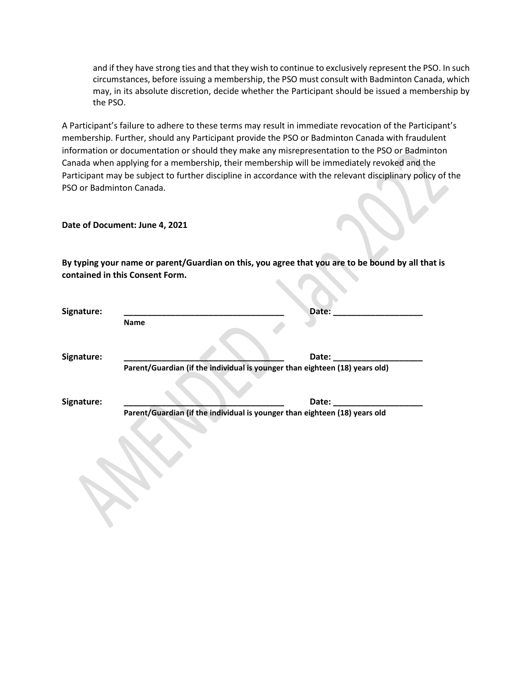and if they have strong ties and that they wish to continue to exclusively represent the PSO. In such circumstances, before issuing a membership, the PSO must consult with Badminton Canada, which may, in its absolute discretion, decide whether the Participant should be issued a membership by the PSO.

A Participant's failure to adhere to these terms may result in immediate revocation of the Participant's membership. Further, should any Participant provide the PSO or Badminton Canada with fraudulent information or documentation or should they make any misrepresentation to the PSO or Badminton Canada when applying for a membership, their membership will be immediately revoked and the Participant may be subject to further discipline in accordance with the relevant disciplinary policy of the PSO or Badminton Canada.

**Date of Document: June 4, 2021**

**By typing your name or parent/Guardian on this, you agree that you are to be bound by all that is contained in this Consent Form.** 

| Signature: | Date:                                                                               |
|------------|-------------------------------------------------------------------------------------|
|            | <b>Name</b>                                                                         |
| Signature: | Date:                                                                               |
|            | Parent/Guardian (if the individual is younger than eighteen (18) years old)         |
| Signature: | Date:<br>Parent/Guardian (if the individual is younger than eighteen (18) years old |
|            |                                                                                     |
|            |                                                                                     |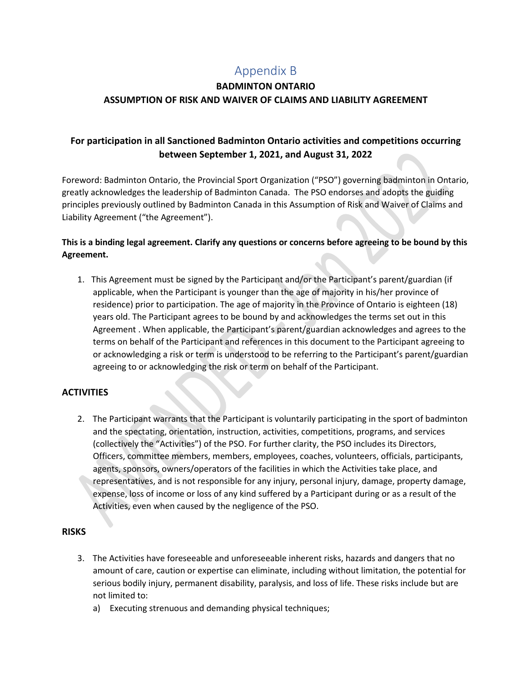### Appendix B

### <span id="page-15-0"></span>**BADMINTON ONTARIO ASSUMPTION OF RISK AND WAIVER OF CLAIMS AND LIABILITY AGREEMENT**

#### **For participation in all Sanctioned Badminton Ontario activities and competitions occurring between September 1, 2021, and August 31, 2022**

Foreword: Badminton Ontario, the Provincial Sport Organization ("PSO") governing badminton in Ontario, greatly acknowledges the leadership of Badminton Canada. The PSO endorses and adopts the guiding principles previously outlined by Badminton Canada in this Assumption of Risk and Waiver of Claims and Liability Agreement ("the Agreement").

#### **This is a binding legal agreement. Clarify any questions or concerns before agreeing to be bound by this Agreement.**

1. This Agreement must be signed by the Participant and/or the Participant's parent/guardian (if applicable, when the Participant is younger than the age of majority in his/her province of residence) prior to participation. The age of majority in the Province of Ontario is eighteen (18) years old. The Participant agrees to be bound by and acknowledges the terms set out in this Agreement . When applicable, the Participant's parent/guardian acknowledges and agrees to the terms on behalf of the Participant and references in this document to the Participant agreeing to or acknowledging a risk or term is understood to be referring to the Participant's parent/guardian agreeing to or acknowledging the risk or term on behalf of the Participant.

#### **ACTIVITIES**

2. The Participant warrants that the Participant is voluntarily participating in the sport of badminton and the spectating, orientation, instruction, activities, competitions, programs, and services (collectively the "Activities") of the PSO. For further clarity, the PSO includes its Directors, Officers, committee members, members, employees, coaches, volunteers, officials, participants, agents, sponsors, owners/operators of the facilities in which the Activities take place, and representatives, and is not responsible for any injury, personal injury, damage, property damage, expense, loss of income or loss of any kind suffered by a Participant during or as a result of the Activities, even when caused by the negligence of the PSO.

#### **RISKS**

- 3. The Activities have foreseeable and unforeseeable inherent risks, hazards and dangers that no amount of care, caution or expertise can eliminate, including without limitation, the potential for serious bodily injury, permanent disability, paralysis, and loss of life. These risks include but are not limited to:
	- a) Executing strenuous and demanding physical techniques;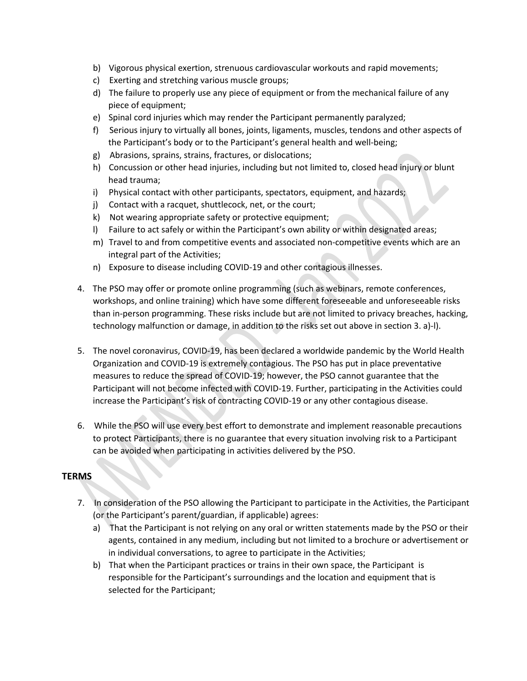- b) Vigorous physical exertion, strenuous cardiovascular workouts and rapid movements;
- c) Exerting and stretching various muscle groups;
- d) The failure to properly use any piece of equipment or from the mechanical failure of any piece of equipment;
- e) Spinal cord injuries which may render the Participant permanently paralyzed;
- f) Serious injury to virtually all bones, joints, ligaments, muscles, tendons and other aspects of the Participant's body or to the Participant's general health and well-being;
- g) Abrasions, sprains, strains, fractures, or dislocations;
- h) Concussion or other head injuries, including but not limited to, closed head injury or blunt head trauma;
- i) Physical contact with other participants, spectators, equipment, and hazards;
- j) Contact with a racquet, shuttlecock, net, or the court;
- k) Not wearing appropriate safety or protective equipment;
- l) Failure to act safely or within the Participant's own ability or within designated areas;
- m) Travel to and from competitive events and associated non-competitive events which are an integral part of the Activities;
- n) Exposure to disease including COVID-19 and other contagious illnesses.
- 4. The PSO may offer or promote online programming (such as webinars, remote conferences, workshops, and online training) which have some different foreseeable and unforeseeable risks than in-person programming. These risks include but are not limited to privacy breaches, hacking, technology malfunction or damage, in addition to the risks set out above in section 3. a)-l).
- 5. The novel coronavirus, COVID-19, has been declared a worldwide pandemic by the World Health Organization and COVID-19 is extremely contagious. The PSO has put in place preventative measures to reduce the spread of COVID-19; however, the PSO cannot guarantee that the Participant will not become infected with COVID-19. Further, participating in the Activities could increase the Participant's risk of contracting COVID-19 or any other contagious disease.
- 6. While the PSO will use every best effort to demonstrate and implement reasonable precautions to protect Participants, there is no guarantee that every situation involving risk to a Participant can be avoided when participating in activities delivered by the PSO.

#### **TERMS**

- 7. In consideration of the PSO allowing the Participant to participate in the Activities, the Participant (or the Participant's parent/guardian, if applicable) agrees:
	- a) That the Participant is not relying on any oral or written statements made by the PSO or their agents, contained in any medium, including but not limited to a brochure or advertisement or in individual conversations, to agree to participate in the Activities;
	- b) That when the Participant practices or trains in their own space, the Participant is responsible for the Participant's surroundings and the location and equipment that is selected for the Participant;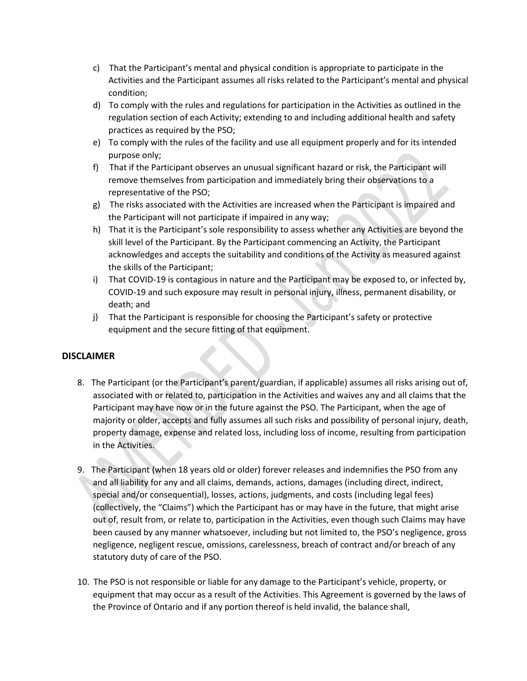- c) That the Participant's mental and physical condition is appropriate to participate in the Activities and the Participant assumes all risks related to the Participant's mental and physical condition;
- d) To comply with the rules and regulations for participation in the Activities as outlined in the regulation section of each Activity; extending to and including additional health and safety practices as required by the PSO;
- e) To comply with the rules of the facility and use all equipment properly and for its intended purpose only;
- f) That if the Participant observes an unusual significant hazard or risk, the Participant will remove themselves from participation and immediately bring their observations to a representative of the PSO;
- g) The risks associated with the Activities are increased when the Participant is impaired and the Participant will not participate if impaired in any way;
- h) That it is the Participant's sole responsibility to assess whether any Activities are beyond the skill level of the Participant. By the Participant commencing an Activity, the Participant acknowledges and accepts the suitability and conditions of the Activity as measured against the skills of the Participant;
- i) That COVID-19 is contagious in nature and the Participant may be exposed to, or infected by, COVID-19 and such exposure may result in personal injury, illness, permanent disability, or death; and
- j) That the Participant is responsible for choosing the Participant's safety or protective equipment and the secure fitting of that equipment.

#### **DISCLAIMER**

- 8. The Participant (or the Participant's parent/guardian, if applicable) assumes all risks arising out of, associated with or related to, participation in the Activities and waives any and all claims that the Participant may have now or in the future against the PSO. The Participant, when the age of majority or older, accepts and fully assumes all such risks and possibility of personal injury, death, property damage, expense and related loss, including loss of income, resulting from participation in the Activities.
- 9. The Participant (when 18 years old or older) forever releases and indemnifies the PSO from any and all liability for any and all claims, demands, actions, damages (including direct, indirect, special and/or consequential), losses, actions, judgments, and costs (including legal fees) (collectively, the "Claims") which the Participant has or may have in the future, that might arise out of, result from, or relate to, participation in the Activities, even though such Claims may have been caused by any manner whatsoever, including but not limited to, the PSO's negligence, gross negligence, negligent rescue, omissions, carelessness, breach of contract and/or breach of any statutory duty of care of the PSO.
- 10. The PSO is not responsible or liable for any damage to the Participant's vehicle, property, or equipment that may occur as a result of the Activities. This Agreement is governed by the laws of the Province of Ontario and if any portion thereof is held invalid, the balance shall,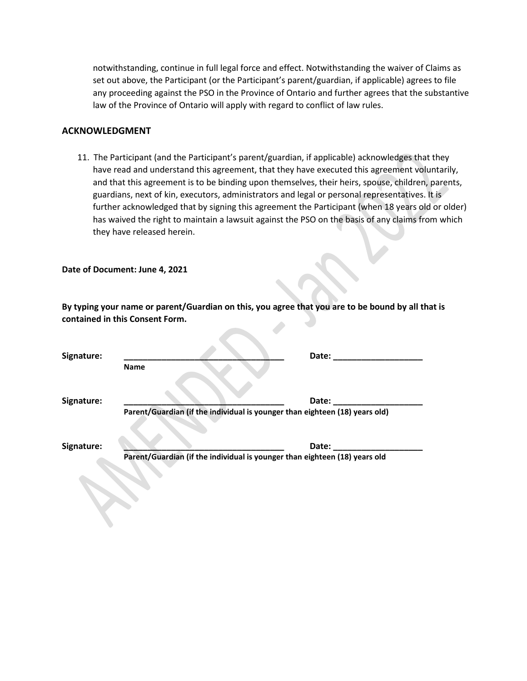notwithstanding, continue in full legal force and effect. Notwithstanding the waiver of Claims as set out above, the Participant (or the Participant's parent/guardian, if applicable) agrees to file any proceeding against the PSO in the Province of Ontario and further agrees that the substantive law of the Province of Ontario will apply with regard to conflict of law rules.

#### **ACKNOWLEDGMENT**

11. The Participant (and the Participant's parent/guardian, if applicable) acknowledges that they have read and understand this agreement, that they have executed this agreement voluntarily, and that this agreement is to be binding upon themselves, their heirs, spouse, children, parents, guardians, next of kin, executors, administrators and legal or personal representatives. It is further acknowledged that by signing this agreement the Participant (when 18 years old or older) has waived the right to maintain a lawsuit against the PSO on the basis of any claims from which they have released herein.

**Date of Document: June 4, 2021**

**By typing your name or parent/Guardian on this, you agree that you are to be bound by all that is contained in this Consent Form.** 

| Signature: | Date:                                                                                |  |
|------------|--------------------------------------------------------------------------------------|--|
|            | <b>Name</b>                                                                          |  |
| Signature: | Date:<br>Parent/Guardian (if the individual is younger than eighteen (18) years old) |  |
| Signature: | Date:                                                                                |  |

 **Parent/Guardian (if the individual is younger than eighteen (18) years old**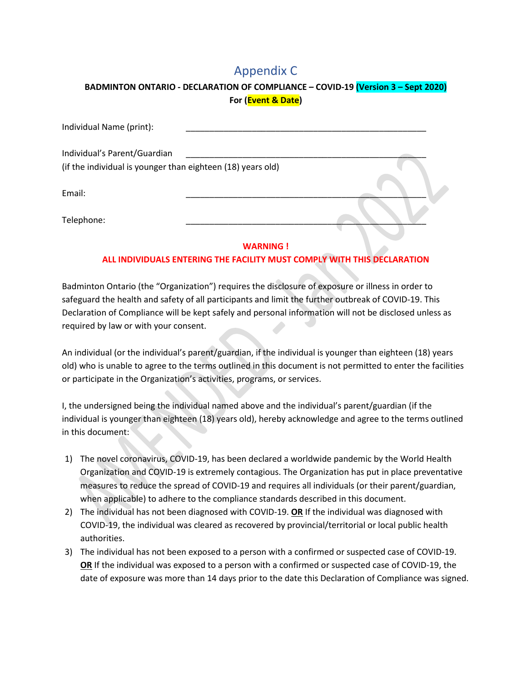### Appendix C

#### <span id="page-19-0"></span>**BADMINTON ONTARIO - DECLARATION OF COMPLIANCE – COVID-19 (Version 3 – Sept 2020) For (Event & Date)**

| Individual Name (print):                                                                    |  |
|---------------------------------------------------------------------------------------------|--|
| Individual's Parent/Guardian<br>(if the individual is younger than eighteen (18) years old) |  |
| Email:                                                                                      |  |
| Telephone:                                                                                  |  |

#### **WARNING !**

#### **ALL INDIVIDUALS ENTERING THE FACILITY MUST COMPLY WITH THIS DECLARATION**

Badminton Ontario (the "Organization") requires the disclosure of exposure or illness in order to safeguard the health and safety of all participants and limit the further outbreak of COVID-19. This Declaration of Compliance will be kept safely and personal information will not be disclosed unless as required by law or with your consent.

An individual (or the individual's parent/guardian, if the individual is younger than eighteen (18) years old) who is unable to agree to the terms outlined in this document is not permitted to enter the facilities or participate in the Organization's activities, programs, or services.

I, the undersigned being the individual named above and the individual's parent/guardian (if the individual is younger than eighteen (18) years old), hereby acknowledge and agree to the terms outlined in this document:

- 1) The novel coronavirus, COVID-19, has been declared a worldwide pandemic by the World Health Organization and COVID-19 is extremely contagious. The Organization has put in place preventative measures to reduce the spread of COVID-19 and requires all individuals (or their parent/guardian, when applicable) to adhere to the compliance standards described in this document.
- 2) The individual has not been diagnosed with COVID-19. **OR** If the individual was diagnosed with COVID-19, the individual was cleared as recovered by provincial/territorial or local public health authorities.
- 3) The individual has not been exposed to a person with a confirmed or suspected case of COVID-19. **OR** If the individual was exposed to a person with a confirmed or suspected case of COVID-19, the date of exposure was more than 14 days prior to the date this Declaration of Compliance was signed.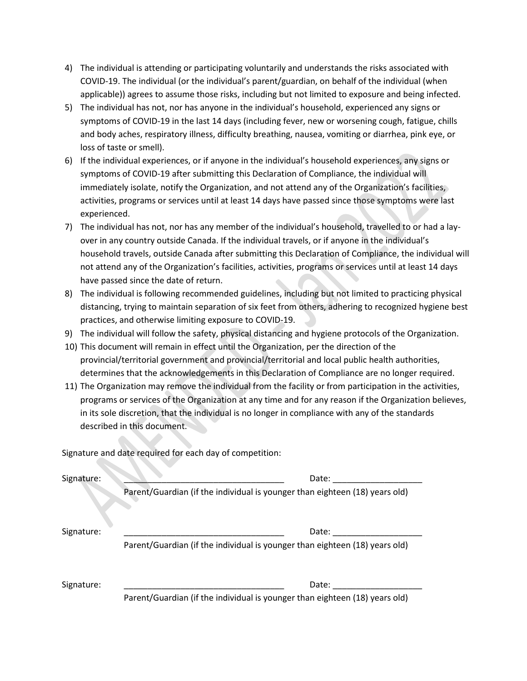- 4) The individual is attending or participating voluntarily and understands the risks associated with COVID-19. The individual (or the individual's parent/guardian, on behalf of the individual (when applicable)) agrees to assume those risks, including but not limited to exposure and being infected.
- 5) The individual has not, nor has anyone in the individual's household, experienced any signs or symptoms of COVID-19 in the last 14 days (including fever, new or worsening cough, fatigue, chills and body aches, respiratory illness, difficulty breathing, nausea, vomiting or diarrhea, pink eye, or loss of taste or smell).
- 6) If the individual experiences, or if anyone in the individual's household experiences, any signs or symptoms of COVID-19 after submitting this Declaration of Compliance, the individual will immediately isolate, notify the Organization, and not attend any of the Organization's facilities, activities, programs or services until at least 14 days have passed since those symptoms were last experienced.
- 7) The individual has not, nor has any member of the individual's household, travelled to or had a layover in any country outside Canada. If the individual travels, or if anyone in the individual's household travels, outside Canada after submitting this Declaration of Compliance, the individual will not attend any of the Organization's facilities, activities, programs or services until at least 14 days have passed since the date of return.
- 8) The individual is following recommended guidelines, including but not limited to practicing physical distancing, trying to maintain separation of six feet from others, adhering to recognized hygiene best practices, and otherwise limiting exposure to COVID-19.
- 9) The individual will follow the safety, physical distancing and hygiene protocols of the Organization.
- 10) This document will remain in effect until the Organization, per the direction of the provincial/territorial government and provincial/territorial and local public health authorities, determines that the acknowledgements in this Declaration of Compliance are no longer required.
- 11) The Organization may remove the individual from the facility or from participation in the activities, programs or services of the Organization at any time and for any reason if the Organization believes, in its sole discretion, that the individual is no longer in compliance with any of the standards described in this document.

Signature and date required for each day of competition:

| Signature: | Date:<br>Parent/Guardian (if the individual is younger than eighteen (18) years old) |
|------------|--------------------------------------------------------------------------------------|
| Signature: | Date:<br>Parent/Guardian (if the individual is younger than eighteen (18) years old) |
| Signature: | Date:<br>Parent/Guardian (if the individual is younger than eighteen (18) years old) |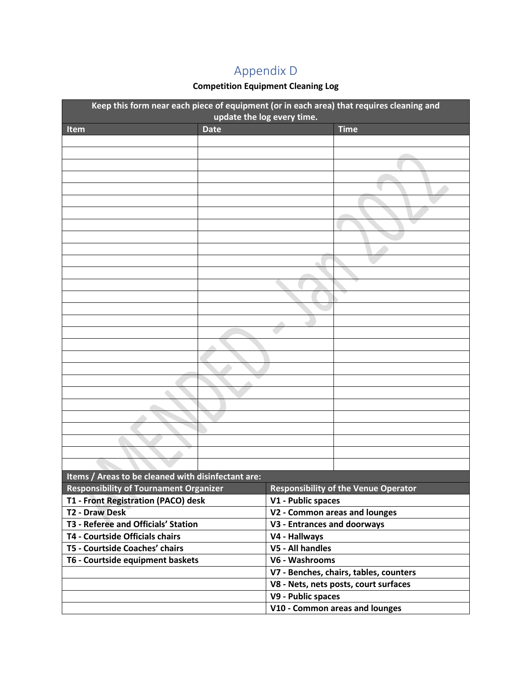## Appendix D

#### **Competition Equipment Cleaning Log**

<span id="page-21-0"></span>

| Date<br><b>Time</b><br>Item                                                                  | Keep this form near each piece of equipment (or in each area) that requires cleaning and<br>update the log every time. |  |                               |  |  |
|----------------------------------------------------------------------------------------------|------------------------------------------------------------------------------------------------------------------------|--|-------------------------------|--|--|
|                                                                                              |                                                                                                                        |  |                               |  |  |
|                                                                                              |                                                                                                                        |  |                               |  |  |
|                                                                                              |                                                                                                                        |  |                               |  |  |
|                                                                                              |                                                                                                                        |  |                               |  |  |
|                                                                                              |                                                                                                                        |  |                               |  |  |
|                                                                                              |                                                                                                                        |  |                               |  |  |
|                                                                                              |                                                                                                                        |  |                               |  |  |
|                                                                                              |                                                                                                                        |  |                               |  |  |
|                                                                                              |                                                                                                                        |  |                               |  |  |
|                                                                                              |                                                                                                                        |  |                               |  |  |
|                                                                                              |                                                                                                                        |  |                               |  |  |
|                                                                                              |                                                                                                                        |  |                               |  |  |
|                                                                                              |                                                                                                                        |  |                               |  |  |
|                                                                                              |                                                                                                                        |  |                               |  |  |
|                                                                                              |                                                                                                                        |  |                               |  |  |
|                                                                                              |                                                                                                                        |  |                               |  |  |
|                                                                                              |                                                                                                                        |  |                               |  |  |
|                                                                                              |                                                                                                                        |  |                               |  |  |
|                                                                                              |                                                                                                                        |  |                               |  |  |
|                                                                                              |                                                                                                                        |  |                               |  |  |
|                                                                                              |                                                                                                                        |  |                               |  |  |
|                                                                                              |                                                                                                                        |  |                               |  |  |
|                                                                                              |                                                                                                                        |  |                               |  |  |
|                                                                                              |                                                                                                                        |  |                               |  |  |
|                                                                                              |                                                                                                                        |  |                               |  |  |
|                                                                                              |                                                                                                                        |  |                               |  |  |
|                                                                                              |                                                                                                                        |  |                               |  |  |
|                                                                                              |                                                                                                                        |  |                               |  |  |
|                                                                                              |                                                                                                                        |  |                               |  |  |
| Items / Areas to be cleaned with disinfectant are:                                           |                                                                                                                        |  |                               |  |  |
| <b>Responsibility of Tournament Organizer</b><br><b>Responsibility of the Venue Operator</b> |                                                                                                                        |  |                               |  |  |
| T1 - Front Registration (PACO) desk<br>V1 - Public spaces                                    |                                                                                                                        |  |                               |  |  |
| <b>T2 - Draw Desk</b>                                                                        |                                                                                                                        |  | V2 - Common areas and lounges |  |  |
| T3 - Referee and Officials' Station<br>V3 - Entrances and doorways                           |                                                                                                                        |  |                               |  |  |
| T4 - Courtside Officials chairs<br>V4 - Hallways                                             |                                                                                                                        |  |                               |  |  |
| T5 - Courtside Coaches' chairs<br>V5 - All handles                                           |                                                                                                                        |  |                               |  |  |
| T6 - Courtside equipment baskets<br>V6 - Washrooms                                           |                                                                                                                        |  |                               |  |  |
| V7 - Benches, chairs, tables, counters                                                       |                                                                                                                        |  |                               |  |  |
| V8 - Nets, nets posts, court surfaces                                                        |                                                                                                                        |  |                               |  |  |
| V9 - Public spaces                                                                           |                                                                                                                        |  |                               |  |  |
| V10 - Common areas and lounges                                                               |                                                                                                                        |  |                               |  |  |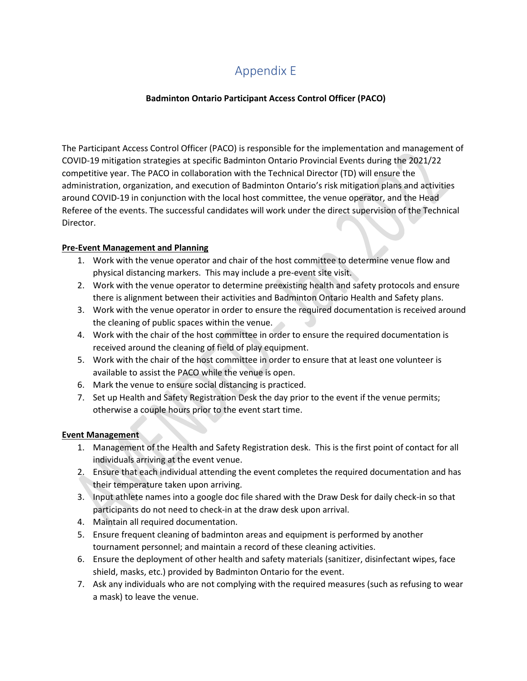### Appendix E

#### **Badminton Ontario Participant Access Control Officer (PACO)**

<span id="page-22-0"></span>The Participant Access Control Officer (PACO) is responsible for the implementation and management of COVID-19 mitigation strategies at specific Badminton Ontario Provincial Events during the 2021/22 competitive year. The PACO in collaboration with the Technical Director (TD) will ensure the administration, organization, and execution of Badminton Ontario's risk mitigation plans and activities around COVID-19 in conjunction with the local host committee, the venue operator, and the Head Referee of the events. The successful candidates will work under the direct supervision of the Technical Director.

#### **Pre-Event Management and Planning**

- 1. Work with the venue operator and chair of the host committee to determine venue flow and physical distancing markers. This may include a pre-event site visit.
- 2. Work with the venue operator to determine preexisting health and safety protocols and ensure there is alignment between their activities and Badminton Ontario Health and Safety plans.
- 3. Work with the venue operator in order to ensure the required documentation is received around the cleaning of public spaces within the venue.
- 4. Work with the chair of the host committee in order to ensure the required documentation is received around the cleaning of field of play equipment.
- 5. Work with the chair of the host committee in order to ensure that at least one volunteer is available to assist the PACO while the venue is open.
- 6. Mark the venue to ensure social distancing is practiced.
- 7. Set up Health and Safety Registration Desk the day prior to the event if the venue permits; otherwise a couple hours prior to the event start time.

#### **Event Management**

- 1. Management of the Health and Safety Registration desk. This is the first point of contact for all individuals arriving at the event venue.
- 2. Ensure that each individual attending the event completes the required documentation and has their temperature taken upon arriving.
- 3. Input athlete names into a google doc file shared with the Draw Desk for daily check-in so that participants do not need to check-in at the draw desk upon arrival.
- 4. Maintain all required documentation.
- 5. Ensure frequent cleaning of badminton areas and equipment is performed by another tournament personnel; and maintain a record of these cleaning activities.
- 6. Ensure the deployment of other health and safety materials (sanitizer, disinfectant wipes, face shield, masks, etc.) provided by Badminton Ontario for the event.
- 7. Ask any individuals who are not complying with the required measures (such as refusing to wear a mask) to leave the venue.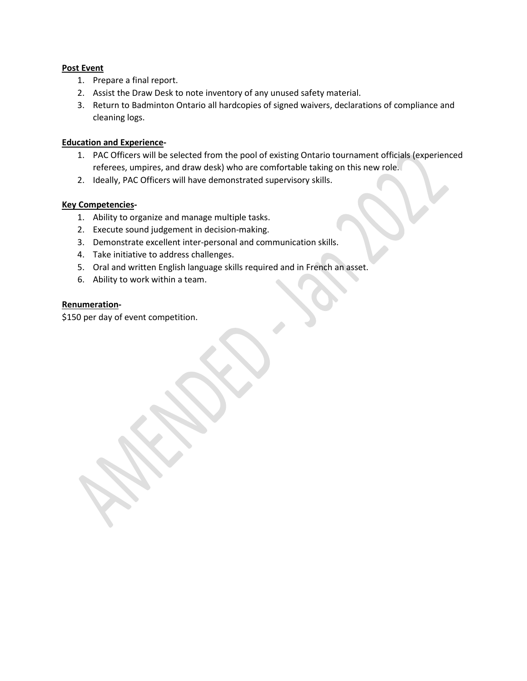#### **Post Event**

- 1. Prepare a final report.
- 2. Assist the Draw Desk to note inventory of any unused safety material.
- 3. Return to Badminton Ontario all hardcopies of signed waivers, declarations of compliance and cleaning logs.

#### **Education and Experience-**

- 1. PAC Officers will be selected from the pool of existing Ontario tournament officials (experienced referees, umpires, and draw desk) who are comfortable taking on this new role.
- 2. Ideally, PAC Officers will have demonstrated supervisory skills.

#### **Key Competencies-**

- 1. Ability to organize and manage multiple tasks.
- 2. Execute sound judgement in decision-making.
- 3. Demonstrate excellent inter-personal and communication skills.
- 4. Take initiative to address challenges.
- 5. Oral and written English language skills required and in French an asset.
- 6. Ability to work within a team.

#### **Renumeration-**

\$150 per day of event competition.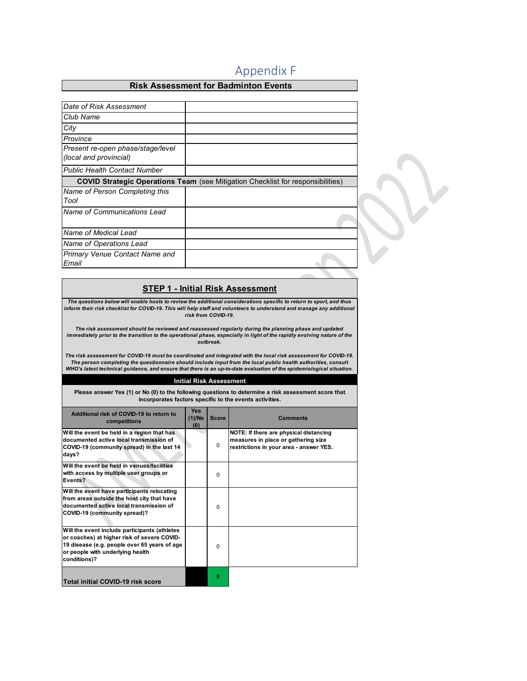### Appendix F

#### **Risk Assessment for Badminton Events**

<span id="page-24-0"></span>

| Date of Risk Assessment                                     |                                                                                        |
|-------------------------------------------------------------|----------------------------------------------------------------------------------------|
| Club Name                                                   |                                                                                        |
| City                                                        |                                                                                        |
| Province                                                    |                                                                                        |
| Present re-open phase/stage/level<br>(local and provincial) |                                                                                        |
| <b>Public Health Contact Number</b>                         |                                                                                        |
|                                                             | <b>COVID Strategic Operations Team</b> (see Mitigation Checklist for responsibilities) |
| Name of Person Completing this                              |                                                                                        |
| Tool                                                        |                                                                                        |
| Name of Communications Lead                                 |                                                                                        |
| Name of Medical Lead                                        |                                                                                        |
| Name of Operations Lead                                     |                                                                                        |
| <b>Primary Venue Contact Name and</b><br>Email              |                                                                                        |

#### **STEP 1 - Initial Risk Assessment**

*The questions below will enable hosts to review the additional considerations specific to return to sport, and thus inform their risk checklist for COVID-19. This will help staff and volunteers to understand and manage any additional risk from COVID-19.* 

*The risk assessment should be reviewed and reassessed regularly during the planning phase and updated immediately prior to the transition to the operational phase, especially in light of the rapidly evolving nature of the outbreak.* 

 *The risk assessment for COVID-19 must be coordinated and integrated with the local risk assessment for COVID-19.*  The person completing the questionnaire should include input from the local public health authorities, consult<br>WHO's latest technical guidance, and ensure that there is an up-to-date evaluation of the epidemiological situa

#### **Initial Risk Assessment**

**Please answer Yes (1) or No (0) to the following questions to determine a risk assessment score that incorporates factors specific to the events activities.**

| Additional risk of COVID-19 to return to<br>competitions                                                                                                                                         | <b>Yes</b><br>(1)/No<br>(0) | <b>Score</b> | <b>Comments</b>                                                                                                          |
|--------------------------------------------------------------------------------------------------------------------------------------------------------------------------------------------------|-----------------------------|--------------|--------------------------------------------------------------------------------------------------------------------------|
| Will the event be held in a region that has<br>documented active local transmission of<br>COVID-19 (community spread) in the last 14<br>days?                                                    |                             | 0            | NOTE: If there are physical distancing<br>measures in place or gathering size<br>restrictions in your area - answer YES. |
| Will the event be held in venues/facilities<br>with access by multiple user groups or<br>Events?                                                                                                 |                             | $\Omega$     |                                                                                                                          |
| Will the event have participants relocating<br>from areas outside the host city that have<br>documented active local transmission of<br>COVID-19 (community spread)?                             |                             | $\Omega$     |                                                                                                                          |
| Will the event include participants (athletes<br>or coaches) at higher risk of severe COVID-<br>19 disease (e.g. people over 65 years of age<br>or people with underlying health<br>conditions)? |                             | $\Omega$     |                                                                                                                          |
| <b>Total initial COVID-19 risk score</b>                                                                                                                                                         |                             | o            |                                                                                                                          |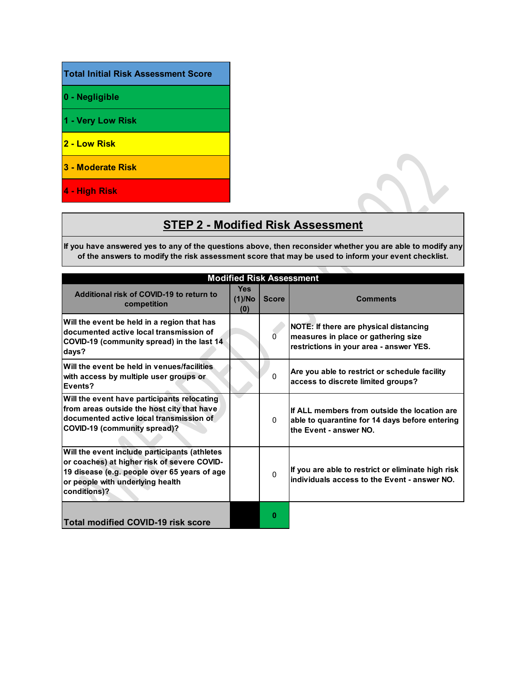#### **Total Initial Risk Assessment Score**

- **0 Negligible**
- **1 Very Low Risk**
- **2 Low Risk**
- **3 Moderate Risk**
- **4 High Risk**

### **STEP 2 - Modified Risk Assessment**

**If you have answered yes to any of the questions above, then reconsider whether you are able to modify any of the answers to modify the risk assessment score that may be used to inform your event checklist.**

| <b>Modified Risk Assessment</b>                                                                                                                                                                  |                             |              |                                                                                                                                 |  |  |
|--------------------------------------------------------------------------------------------------------------------------------------------------------------------------------------------------|-----------------------------|--------------|---------------------------------------------------------------------------------------------------------------------------------|--|--|
| Additional risk of COVID-19 to return to<br>competition                                                                                                                                          | <b>Yes</b><br>(1)/No<br>(0) | <b>Score</b> | <b>Comments</b>                                                                                                                 |  |  |
| Will the event be held in a region that has<br>documented active local transmission of<br>COVID-19 (community spread) in the last 14<br>days?                                                    |                             | $\Omega$     | <b>NOTE: If there are physical distancing</b><br>measures in place or gathering size<br>restrictions in your area - answer YES. |  |  |
| Will the event be held in venues/facilities<br>with access by multiple user groups or<br>Events?                                                                                                 |                             | $\mathbf{0}$ | Are you able to restrict or schedule facility<br>access to discrete limited groups?                                             |  |  |
| Will the event have participants relocating<br>from areas outside the host city that have<br>documented active local transmission of<br><b>COVID-19 (community spread)?</b>                      |                             | $\mathbf{0}$ | If ALL members from outside the location are<br>able to quarantine for 14 days before entering<br>the Event - answer NO.        |  |  |
| Will the event include participants (athletes<br>or coaches) at higher risk of severe COVID-<br>19 disease (e.g. people over 65 years of age<br>or people with underlying health<br>conditions)? |                             | $\Omega$     | If you are able to restrict or eliminate high risk<br>individuals access to the Event - answer NO.                              |  |  |
| Total modified COVID-19 risk score                                                                                                                                                               |                             | Ω            |                                                                                                                                 |  |  |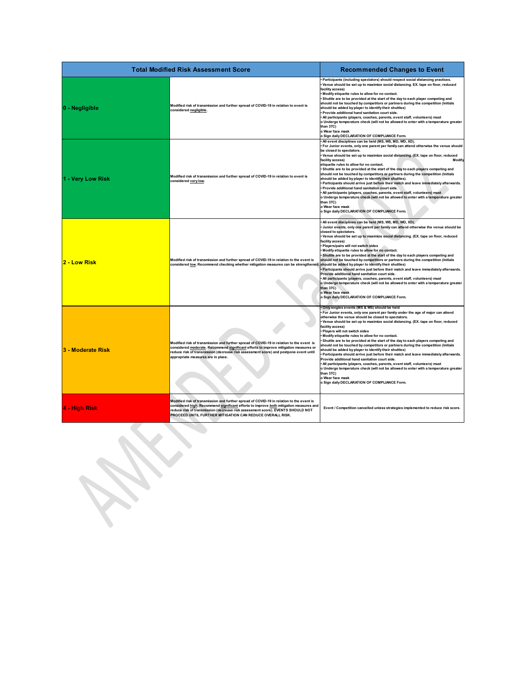| <b>Total Modified Risk Assessment Score</b> | <b>Recommended Changes to Event</b>                                                                                                                                                                                                                                                                                                |                                                                                                                                                                                                                                                                                                                                                                                                                                                                                                                                                                                                                                                                                                                                                                                                                                                                                                                                                                                                                       |
|---------------------------------------------|------------------------------------------------------------------------------------------------------------------------------------------------------------------------------------------------------------------------------------------------------------------------------------------------------------------------------------|-----------------------------------------------------------------------------------------------------------------------------------------------------------------------------------------------------------------------------------------------------------------------------------------------------------------------------------------------------------------------------------------------------------------------------------------------------------------------------------------------------------------------------------------------------------------------------------------------------------------------------------------------------------------------------------------------------------------------------------------------------------------------------------------------------------------------------------------------------------------------------------------------------------------------------------------------------------------------------------------------------------------------|
| 0 - Negligible                              | Modified risk of transmission and further spread of COVID-19 in relation to event is<br>considered negligible.                                                                                                                                                                                                                     | Participants (including spectators) should respect social distancing practices.<br>Venue should be set up to maximize social distancing. EX. tape on floor, reduced<br>facility access)<br>Modify etiquette rules to allow for no contact.<br>Shuttle are to be provided at the start of the day to each player competing and<br>should not be touched by competitors or partners during the competition (Initials<br>should be added by player to identify their shuttles)<br>Provide additional hand sanitation court side.<br>All participants (players, coaches, parents, event staff, volunteers) must<br>o Undergo temperature check (will not be allowed to enter with a temperature greater<br>than 37C)<br>o Wear face mask<br>o Sign daily DECLARATION OF COMPLIANCE Form.                                                                                                                                                                                                                                  |
| 1 - Very Low Risk                           | Modified risk of transmission and further spread of COVID-19 in relation to event is<br>considered very low.                                                                                                                                                                                                                       | All event disciplines can be held (MS, WS, MD, WD, XD).<br>For Junior events, only one parent per family can attend otherwise the venue should<br>be closed to spectators.<br>Venue should be set up to maximize social distancing. (EX. tape on floor, reduced<br>facility access)<br>Modify<br>etiquette rules to allow for no contact.<br>Shuttle are to be provided at the start of the day to each players competing and<br>should not be touched by competitors or partners during the competition (Initials<br>should be added by player to identify their shuttles).<br>Participants should arrive just before their match and leave immediately afterwards.<br>Provide additional hand sanitation court side.<br>All participants (players, coaches, parents, event staff, volunteers) must<br>o Undergo temperature check (will not be allowed to enter with a temperature greater<br>than 37C)<br>o Wear face mask<br>o Sign daily DECLARATION OF COMPLIANCE Form.                                         |
| 2 - Low Risk                                | Modified risk of transmission and further spread of COVID-19 in relation to the event is<br>considered low. Recommend checking whether mitigation measures can be strengthened. should be added by player to identify their shuttles)                                                                                              | All event disciplines can be held (MS, WS, MD, WD, XD).<br>Junior events, only one parent per family can attend otherwise the venue should be<br>closed to spectators.<br>Venue should be set up to maximize social distancing. (EX. tape on floor, reduced<br>facility access)<br>Players/pairs will not switch sides<br>Modify etiquette rules to allow for no contact.<br>Shuttle are to be provided at the start of the day to each players competing and<br>should not be touched by competitors or partners during the competition (Initials<br>Participants should arrive just before their match and leave immediately afterwards.<br>Provide additional hand sanitation court side.<br>All participants (players, coaches, parents, event staff, volunteers) must<br>o Undergo temperature check (will not be allowed to enter with a temperature greater<br>than 37C)<br>o Wear face mask<br>o Sign daily DECLARATION OF COMPLIANCE Form.                                                                   |
| 3 - Moderate Risk                           | Modified risk of transmission and further spread of COVID-19 in relation to the event is<br>considered moderate. Recommend significant efforts to improve mitigation measures or<br>reduce risk of transmission (decrease risk assessment score) and postpone event until<br>appropriate measures are in place.                    | Only singles events (MS & WS) should be held<br>For Junior events, only one parent per family under the age of major can attend<br>otherwise the venue should be closed to spectators.<br>Venue should be set up to maximize social distancing. (EX. tape on floor, reduced<br>facility access)<br>Players will not switch sides<br>Modify etiquette rules to allow for no contact.<br>Shuttle are to be provided at the start of the day to each players competing and<br>hould not be touched by competitors or partners during the competition (Initials<br>should be added by player to identify their shuttles)<br>Participants should arrive just before their match and leave immediately afterwards.<br>Provide additional hand sanitation court side.<br>All participants (players, coaches, parents, event staff, volunteers) must<br>o Undergo temperature check (will not be allowed to enter with a temperature greater<br>than 37C)<br>o Wear face mask<br>o Sign daily DECLARATION OF COMPLIANCE Form. |
| 4 - High Risk                               | Modified risk of transmission and further spread of COVID-19 in relation to the event is<br>considered high. Recommend significant efforts to improve both mitigation measures and<br>reduce risk of transmission (decrease risk assessment score). EVENTS SHOULD NOT<br>PROCEED UNTIL FURTHER MITIGATION CAN REDUCE OVERALL RISK. | Event / Competition cancelled unless strategies implemented to reduce risk score.                                                                                                                                                                                                                                                                                                                                                                                                                                                                                                                                                                                                                                                                                                                                                                                                                                                                                                                                     |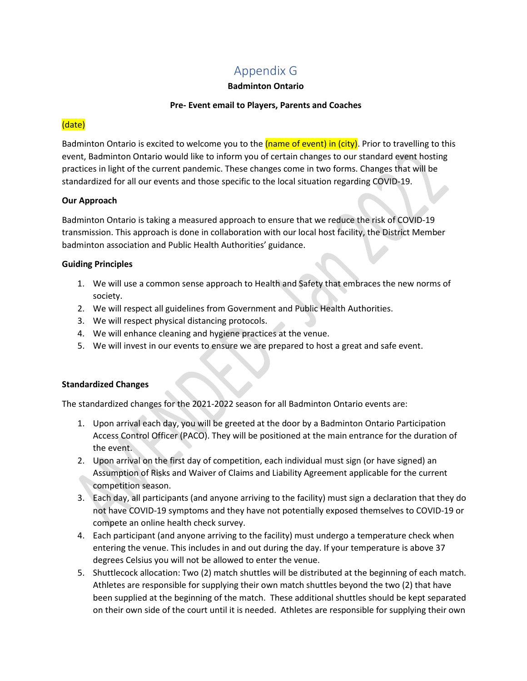### Appendix G

#### **Badminton Ontario**

#### **Pre- Event email to Players, Parents and Coaches**

#### <span id="page-27-0"></span>(date)

Badminton Ontario is excited to welcome you to the (name of event) in (city). Prior to travelling to this event, Badminton Ontario would like to inform you of certain changes to our standard event hosting practices in light of the current pandemic. These changes come in two forms. Changes that will be standardized for all our events and those specific to the local situation regarding COVID-19.

#### **Our Approach**

Badminton Ontario is taking a measured approach to ensure that we reduce the risk of COVID-19 transmission. This approach is done in collaboration with our local host facility, the District Member badminton association and Public Health Authorities' guidance.

#### **Guiding Principles**

- 1. We will use a common sense approach to Health and Safety that embraces the new norms of society.
- 2. We will respect all guidelines from Government and Public Health Authorities.
- 3. We will respect physical distancing protocols.
- 4. We will enhance cleaning and hygiene practices at the venue.
- 5. We will invest in our events to ensure we are prepared to host a great and safe event.

#### **Standardized Changes**

The standardized changes for the 2021-2022 season for all Badminton Ontario events are:

- 1. Upon arrival each day, you will be greeted at the door by a Badminton Ontario Participation Access Control Officer (PACO). They will be positioned at the main entrance for the duration of the event.
- 2. Upon arrival on the first day of competition, each individual must sign (or have signed) an Assumption of Risks and Waiver of Claims and Liability Agreement applicable for the current competition season.
- 3. Each day, all participants (and anyone arriving to the facility) must sign a declaration that they do not have COVID-19 symptoms and they have not potentially exposed themselves to COVID-19 or compete an online health check survey.
- 4. Each participant (and anyone arriving to the facility) must undergo a temperature check when entering the venue. This includes in and out during the day. If your temperature is above 37 degrees Celsius you will not be allowed to enter the venue.
- 5. Shuttlecock allocation: Two (2) match shuttles will be distributed at the beginning of each match. Athletes are responsible for supplying their own match shuttles beyond the two (2) that have been supplied at the beginning of the match. These additional shuttles should be kept separated on their own side of the court until it is needed. Athletes are responsible for supplying their own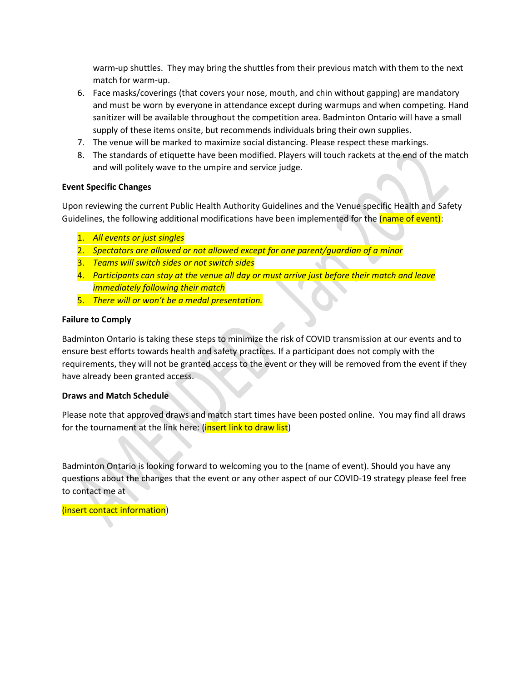warm-up shuttles. They may bring the shuttles from their previous match with them to the next match for warm-up.

- 6. Face masks/coverings (that covers your nose, mouth, and chin without gapping) are mandatory and must be worn by everyone in attendance except during warmups and when competing. Hand sanitizer will be available throughout the competition area. Badminton Ontario will have a small supply of these items onsite, but recommends individuals bring their own supplies.
- 7. The venue will be marked to maximize social distancing. Please respect these markings.
- 8. The standards of etiquette have been modified. Players will touch rackets at the end of the match and will politely wave to the umpire and service judge.

#### **Event Specific Changes**

Upon reviewing the current Public Health Authority Guidelines and the Venue specific Health and Safety Guidelines, the following additional modifications have been implemented for the (name of event):

- 1. *All events or just singles*
- 2. *Spectators are allowed or not allowed except for one parent/guardian of a minor*
- 3. *Teams will switch sides or not switch sides*
- 4. *Participants can stay at the venue all day or must arrive just before their match and leave immediately following their match*
- 5. *There will or won't be a medal presentation.*

#### **Failure to Comply**

Badminton Ontario is taking these steps to minimize the risk of COVID transmission at our events and to ensure best efforts towards health and safety practices. If a participant does not comply with the requirements, they will not be granted access to the event or they will be removed from the event if they have already been granted access.

#### **Draws and Match Schedule**

Please note that approved draws and match start times have been posted online. You may find all draws for the tournament at the link here: (insert link to draw list)

Badminton Ontario is looking forward to welcoming you to the (name of event). Should you have any questions about the changes that the event or any other aspect of our COVID-19 strategy please feel free to contact me at

(insert contact information)